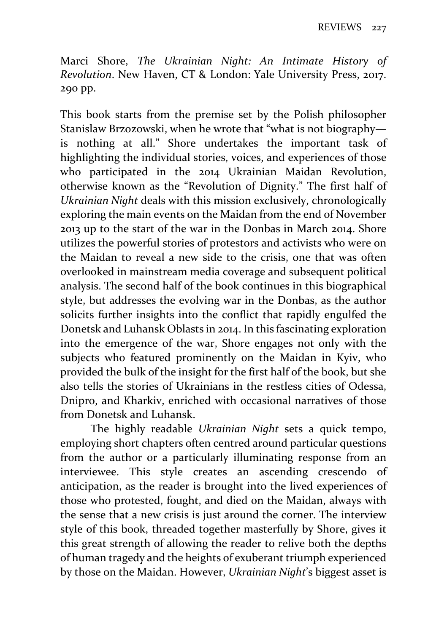Marci Shore, *The Ukrainian Night: An Intimate History of Revolution*. New Haven, CT & London: Yale University Press, 2017. 290 pp.

This book starts from the premise set by the Polish philosopher Stanislaw Brzozowski, when he wrote that "what is not biography is nothing at all." Shore undertakes the important task of highlighting the individual stories, voices, and experiences of those who participated in the 2014 Ukrainian Maidan Revolution, otherwise known as the "Revolution of Dignity." The first half of *Ukrainian Night* deals with this mission exclusively, chronologically exploring the main events on the Maidan from the end of November 2013 up to the start of the war in the Donbas in March 2014. Shore utilizes the powerful stories of protestors and activists who were on the Maidan to reveal a new side to the crisis, one that was often overlooked in mainstream media coverage and subsequent political analysis. The second half of the book continues in this biographical style, but addresses the evolving war in the Donbas, as the author solicits further insights into the conflict that rapidly engulfed the Donetsk and Luhansk Oblasts in 2014. In this fascinating exploration into the emergence of the war, Shore engages not only with the subjects who featured prominently on the Maidan in Kyiv, who provided the bulk of the insight for the first half of the book, but she also tells the stories of Ukrainians in the restless cities of Odessa, Dnipro, and Kharkiv, enriched with occasional narratives of those from Donetsk and Luhansk.

The highly readable *Ukrainian Night* sets a quick tempo, employing short chapters often centred around particular questions from the author or a particularly illuminating response from an interviewee. This style creates an ascending crescendo of anticipation, as the reader is brought into the lived experiences of those who protested, fought, and died on the Maidan, always with the sense that a new crisis is just around the corner. The interview style of this book, threaded together masterfully by Shore, gives it this great strength of allowing the reader to relive both the depths of human tragedy and the heights of exuberant triumph experienced by those on the Maidan. However, *Ukrainian Night*'s biggest asset is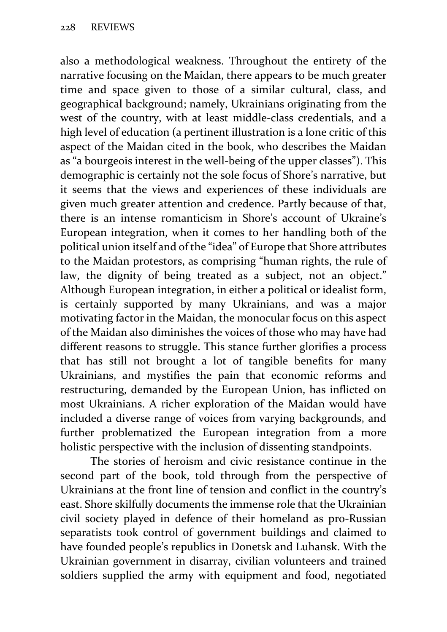also a methodological weakness. Throughout the entirety of the narrative focusing on the Maidan, there appears to be much greater time and space given to those of a similar cultural, class, and geographical background; namely, Ukrainians originating from the west of the country, with at least middle‐class credentials, and a high level of education (a pertinent illustration is a lone critic of this aspect of the Maidan cited in the book, who describes the Maidan as "a bourgeois interest in the well‐being of the upper classes"). This demographic is certainly not the sole focus of Shore's narrative, but it seems that the views and experiences of these individuals are given much greater attention and credence. Partly because of that, there is an intense romanticism in Shore's account of Ukraine's European integration, when it comes to her handling both of the political union itself and of the "idea" of Europe that Shore attributes to the Maidan protestors, as comprising "human rights, the rule of law, the dignity of being treated as a subject, not an object." Although European integration, in either a political or idealist form, is certainly supported by many Ukrainians, and was a major motivating factor in the Maidan, the monocular focus on this aspect of the Maidan also diminishes the voices of those who may have had different reasons to struggle. This stance further glorifies a process that has still not brought a lot of tangible benefits for many Ukrainians, and mystifies the pain that economic reforms and restructuring, demanded by the European Union, has inflicted on most Ukrainians. A richer exploration of the Maidan would have included a diverse range of voices from varying backgrounds, and further problematized the European integration from a more holistic perspective with the inclusion of dissenting standpoints.

The stories of heroism and civic resistance continue in the second part of the book, told through from the perspective of Ukrainians at the front line of tension and conflict in the country's east. Shore skilfully documents the immense role that the Ukrainian civil society played in defence of their homeland as pro‐Russian separatists took control of government buildings and claimed to have founded people's republics in Donetsk and Luhansk. With the Ukrainian government in disarray, civilian volunteers and trained soldiers supplied the army with equipment and food, negotiated